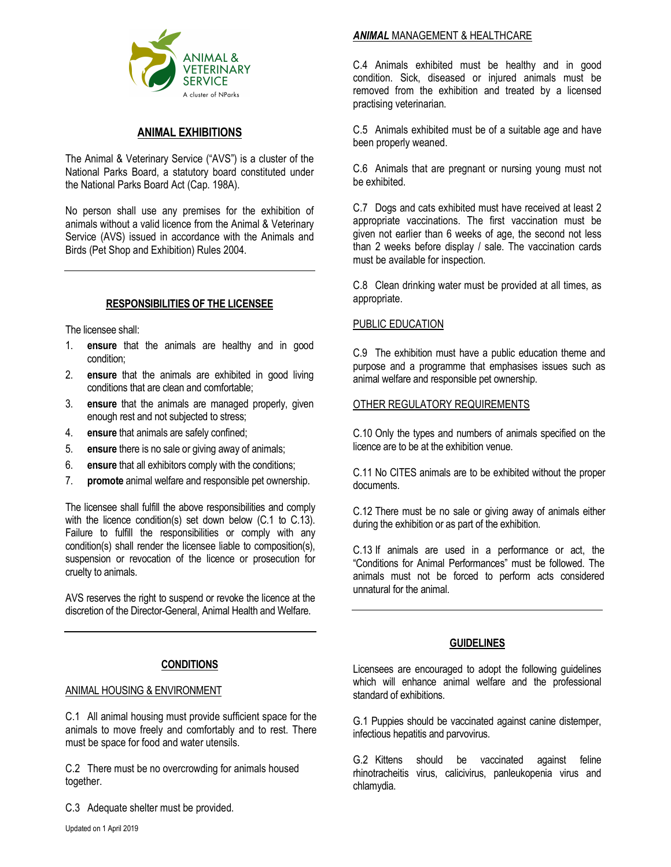

# ANIMAL EXHIBITIONS

The Animal & Veterinary Service ("AVS") is a cluster of the National Parks Board, a statutory board constituted under the National Parks Board Act (Cap. 198A).

No person shall use any premises for the exhibition of animals without a valid licence from the Animal & Veterinary Service (AVS) issued in accordance with the Animals and Birds (Pet Shop and Exhibition) Rules 2004.

## RESPONSIBILITIES OF THE LICENSEE

The licensee shall:

- 1. ensure that the animals are healthy and in good condition;
- 2. ensure that the animals are exhibited in good living conditions that are clean and comfortable;
- 3. ensure that the animals are managed properly, given enough rest and not subjected to stress;
- 4. ensure that animals are safely confined;
- 5. ensure there is no sale or giving away of animals;
- 6. ensure that all exhibitors comply with the conditions;
- 7. **promote** animal welfare and responsible pet ownership.

The licensee shall fulfill the above responsibilities and comply with the licence condition(s) set down below (C.1 to C.13). Failure to fulfill the responsibilities or comply with any condition(s) shall render the licensee liable to composition(s), suspension or revocation of the licence or prosecution for cruelty to animals.

AVS reserves the right to suspend or revoke the licence at the discretion of the Director-General, Animal Health and Welfare.

## **CONDITIONS**

#### ANIMAL HOUSING & ENVIRONMENT

C.1 All animal housing must provide sufficient space for the animals to move freely and comfortably and to rest. There must be space for food and water utensils.

C.2 There must be no overcrowding for animals housed together.

C.3 Adequate shelter must be provided.

#### **ANIMAL MANAGEMENT & HEALTHCARE**

C.4 Animals exhibited must be healthy and in good condition. Sick, diseased or injured animals must be removed from the exhibition and treated by a licensed practising veterinarian.

C.5 Animals exhibited must be of a suitable age and have been properly weaned.

C.6 Animals that are pregnant or nursing young must not be exhibited.

C.7 Dogs and cats exhibited must have received at least 2 appropriate vaccinations. The first vaccination must be given not earlier than 6 weeks of age, the second not less than 2 weeks before display / sale. The vaccination cards must be available for inspection.

C.8 Clean drinking water must be provided at all times, as appropriate.

#### PUBLIC EDUCATION

C.9 The exhibition must have a public education theme and purpose and a programme that emphasises issues such as animal welfare and responsible pet ownership.

#### OTHER REGULATORY REQUIREMENTS

C.10 Only the types and numbers of animals specified on the licence are to be at the exhibition venue.

C.11 No CITES animals are to be exhibited without the proper documents.

C.12 There must be no sale or giving away of animals either during the exhibition or as part of the exhibition.

C.13 If animals are used in a performance or act, the "Conditions for Animal Performances" must be followed. The animals must not be forced to perform acts considered unnatural for the animal.

## GUIDELINES

Licensees are encouraged to adopt the following guidelines which will enhance animal welfare and the professional standard of exhibitions.

G.1 Puppies should be vaccinated against canine distemper, infectious hepatitis and parvovirus.

G.2 Kittens should be vaccinated against feline rhinotracheitis virus, calicivirus, panleukopenia virus and chlamydia.